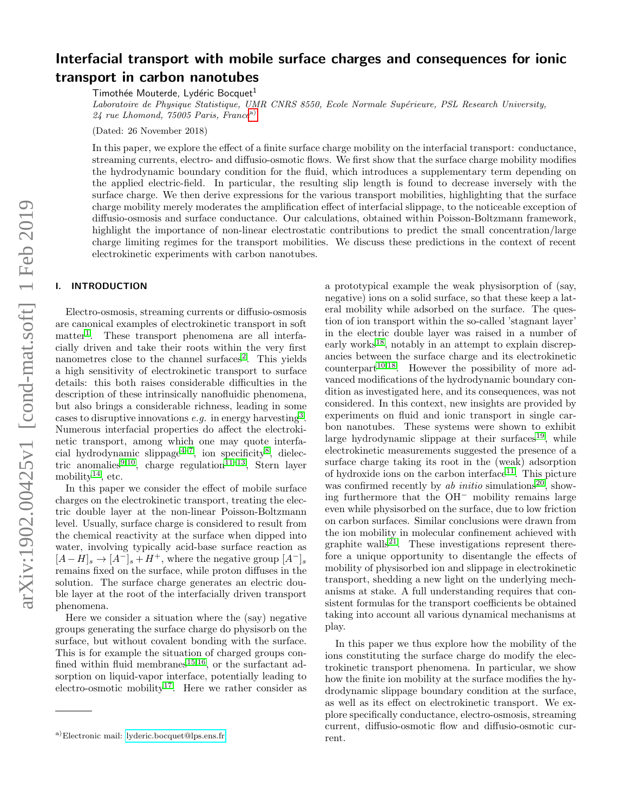# Interfacial transport with mobile surface charges and consequences for ionic transport in carbon nanotubes

Timothée Mouterde, Lydéric Bocquet<sup>1</sup>

Laboratoire de Physique Statistique, UMR CNRS 8550, Ecole Normale Supérieure, PSL Research University,  $24$  rue Lhomond, 75005 Paris, France<sup>[a\)](#page-0-0)</sup>

(Dated: 26 November 2018)

In this paper, we explore the effect of a finite surface charge mobility on the interfacial transport: conductance, streaming currents, electro- and diffusio-osmotic flows. We first show that the surface charge mobility modifies the hydrodynamic boundary condition for the fluid, which introduces a supplementary term depending on the applied electric-field. In particular, the resulting slip length is found to decrease inversely with the surface charge. We then derive expressions for the various transport mobilities, highlighting that the surface charge mobility merely moderates the amplification effect of interfacial slippage, to the noticeable exception of diffusio-osmosis and surface conductance. Our calculations, obtained within Poisson-Boltzmann framework, highlight the importance of non-linear electrostatic contributions to predict the small concentration/large charge limiting regimes for the transport mobilities. We discuss these predictions in the context of recent electrokinetic experiments with carbon nanotubes.

## I. INTRODUCTION

Electro-osmosis, streaming currents or diffusio-osmosis are canonical examples of electrokinetic transport in soft matter<sup>[1](#page-9-0)</sup>. These transport phenomena are all interfacially driven and take their roots within the very first nanometres close to the channel surfaces<sup>[2](#page-9-1)</sup>. This yields a high sensitivity of electrokinetic transport to surface details: this both raises considerable difficulties in the description of these intrinsically nanofluidic phenomena, but also brings a considerable richness, leading in some cases to disruptive innovations  $e.g.$  in energy harvesting<sup>[3](#page-9-2)</sup>. Numerous interfacial properties do affect the electrokinetic transport, among which one may quote interfa-cial hydrodynamic slippage<sup>[4](#page-9-3)-7</sup>, ion specificity<sup>[8](#page-9-5)</sup>, dielec-tric anomalies<sup>[9,](#page-9-6)[10](#page-9-7)</sup>, charge regulation<sup>[11](#page-9-8)[–13](#page-9-9)</sup>, Stern layer mobility<sup>[14](#page-9-10)</sup>, etc.

In this paper we consider the effect of mobile surface charges on the electrokinetic transport, treating the electric double layer at the non-linear Poisson-Boltzmann level. Usually, surface charge is considered to result from the chemical reactivity at the surface when dipped into water, involving typically acid-base surface reaction as  $[A-H]_s \rightarrow [A^-]_s + H^+$ , where the negative group  $[A^-]_s$ remains fixed on the surface, while proton diffuses in the solution. The surface charge generates an electric double layer at the root of the interfacially driven transport phenomena.

Here we consider a situation where the (say) negative groups generating the surface charge do physisorb on the surface, but without covalent bonding with the surface. This is for example the situation of charged groups con-fined within fluid membranes<sup>[15,](#page-9-11)[16](#page-9-12)</sup>, or the surfactant adsorption on liquid-vapor interface, potentially leading to electro-osmotic mobility<sup>[17](#page-9-13)</sup>. Here we rather consider as

a prototypical example the weak physisorption of (say, negative) ions on a solid surface, so that these keep a lateral mobility while adsorbed on the surface. The question of ion transport within the so-called 'stagnant layer' in the electric double layer was raised in a number of early works<sup>[18](#page-9-14)</sup>, notably in an attempt to explain discrepancies between the surface charge and its electrokinetic  $counterpart<sup>10,18</sup>$  $counterpart<sup>10,18</sup>$  $counterpart<sup>10,18</sup>$  $counterpart<sup>10,18</sup>$ . However the possibility of more advanced modifications of the hydrodynamic boundary condition as investigated here, and its consequences, was not considered. In this context, new insights are provided by experiments on fluid and ionic transport in single carbon nanotubes. These systems were shown to exhibit large hydrodynamic slippage at their surfaces $19$ , while electrokinetic measurements suggested the presence of a surface charge taking its root in the (weak) adsorption of hydroxide ions on the carbon interface $11$ . This picture was confirmed recently by  $ab$  initio simulations<sup>[20](#page-9-16)</sup>, showing furthermore that the OH<sup>−</sup> mobility remains large even while physisorbed on the surface, due to low friction on carbon surfaces. Similar conclusions were drawn from the ion mobility in molecular confinement achieved with graphite walls<sup>[21](#page-9-17)</sup>. These investigations represent therefore a unique opportunity to disentangle the effects of mobility of physisorbed ion and slippage in electrokinetic transport, shedding a new light on the underlying mechanisms at stake. A full understanding requires that consistent formulas for the transport coefficients be obtained taking into account all various dynamical mechanisms at play.

In this paper we thus explore how the mobility of the ions constituting the surface charge do modify the electrokinetic transport phenomena. In particular, we show how the finite ion mobility at the surface modifies the hydrodynamic slippage boundary condition at the surface, as well as its effect on electrokinetic transport. We explore specifically conductance, electro-osmosis, streaming current, diffusio-osmotic flow and diffusio-osmotic current.

<span id="page-0-0"></span>a)Electronic mail: [lyderic.bocquet@lps.ens.fr](mailto:lyderic.bocquet@lps.ens.fr)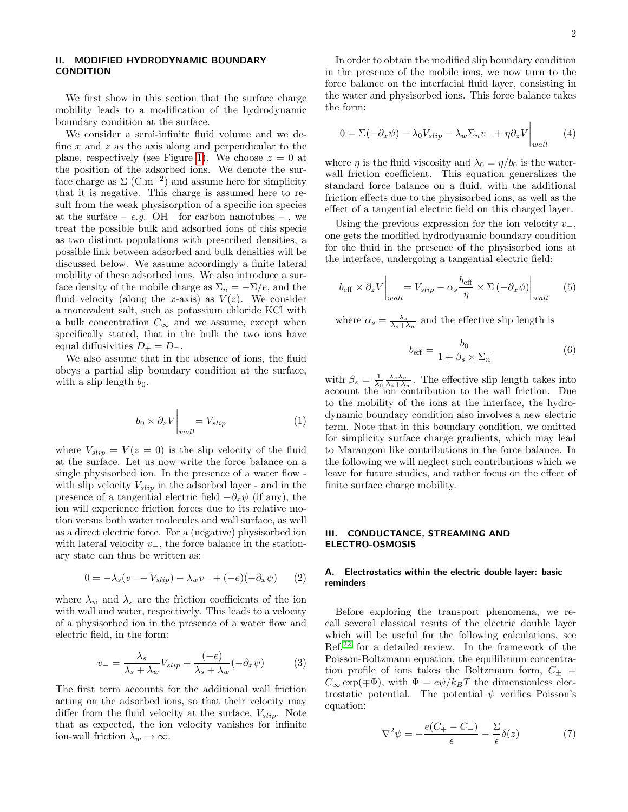$\mathbf{I}$ 

# II. MODIFIED HYDRODYNAMIC BOUNDARY CONDITION

We first show in this section that the surface charge mobility leads to a modification of the hydrodynamic boundary condition at the surface.

We consider a semi-infinite fluid volume and we define  $x$  and  $z$  as the axis along and perpendicular to the plane, respectively (see Figure [1\)](#page-2-0). We choose  $z = 0$  at the position of the adsorbed ions. We denote the surface charge as  $\Sigma$  (C.m<sup>-2</sup>) and assume here for simplicity that it is negative. This charge is assumed here to result from the weak physisorption of a specific ion species at the surface –  $e.g.$  OH<sup>-</sup> for carbon nanotubes – , we treat the possible bulk and adsorbed ions of this specie as two distinct populations with prescribed densities, a possible link between adsorbed and bulk densities will be discussed below. We assume accordingly a finite lateral mobility of these adsorbed ions. We also introduce a surface density of the mobile charge as  $\Sigma_n = -\Sigma/e$ , and the fluid velocity (along the x-axis) as  $V(z)$ . We consider a monovalent salt, such as potassium chloride KCl with a bulk concentration  $C_{\infty}$  and we assume, except when specifically stated, that in the bulk the two ions have equal diffusivities  $D_+ = D_-$ .

We also assume that in the absence of ions, the fluid obeys a partial slip boundary condition at the surface, with a slip length  $b_0$ .

$$
b_0 \times \partial_z V \Big|_{wall} = V_{slip} \tag{1}
$$

where  $V_{slip} = V(z = 0)$  is the slip velocity of the fluid at the surface. Let us now write the force balance on a single physisorbed ion. In the presence of a water flow with slip velocity  $V_{slip}$  in the adsorbed layer - and in the presence of a tangential electric field  $-\partial_x\psi$  (if any), the ion will experience friction forces due to its relative motion versus both water molecules and wall surface, as well as a direct electric force. For a (negative) physisorbed ion with lateral velocity  $v_-,$  the force balance in the stationary state can thus be written as:

$$
0 = -\lambda_s (v_- - V_{slip}) - \lambda_w v_- + (-e)(-\partial_x \psi) \qquad (2)
$$

where  $\lambda_w$  and  $\lambda_s$  are the friction coefficients of the ion with wall and water, respectively. This leads to a velocity of a physisorbed ion in the presence of a water flow and electric field, in the form:

<span id="page-1-0"></span>
$$
v_{-} = \frac{\lambda_{s}}{\lambda_{s} + \lambda_{w}} V_{slip} + \frac{(-e)}{\lambda_{s} + \lambda_{w}} (-\partial_{x} \psi)
$$
 (3)

The first term accounts for the additional wall friction acting on the adsorbed ions, so that their velocity may differ from the fluid velocity at the surface,  $V_{slip}$ . Note that as expected, the ion velocity vanishes for infinite ion-wall friction  $\lambda_w \to \infty$ .

In order to obtain the modified slip boundary condition in the presence of the mobile ions, we now turn to the force balance on the interfacial fluid layer, consisting in the water and physisorbed ions. This force balance takes the form:

$$
0 = \Sigma(-\partial_x \psi) - \lambda_0 V_{slip} - \lambda_w \Sigma_n v_- + \eta \partial_z V \Big|_{wall} \tag{4}
$$

where  $\eta$  is the fluid viscosity and  $\lambda_0 = \eta/b_0$  is the waterwall friction coefficient. This equation generalizes the standard force balance on a fluid, with the additional friction effects due to the physisorbed ions, as well as the effect of a tangential electric field on this charged layer.

Using the previous expression for the ion velocity  $v_-,$ one gets the modified hydrodynamic boundary condition for the fluid in the presence of the physisorbed ions at the interface, undergoing a tangential electric field:

<span id="page-1-1"></span>
$$
b_{\text{eff}} \times \partial_z V \Big|_{wall} = V_{slip} - \alpha_s \frac{b_{\text{eff}}}{\eta} \times \Sigma \left( -\partial_x \psi \right) \Big|_{wall} \tag{5}
$$

where  $\alpha_s = \frac{\lambda_s}{\lambda_s + \lambda_w}$  and the effective slip length is

<span id="page-1-2"></span>
$$
b_{\text{eff}} = \frac{b_0}{1 + \beta_s \times \Sigma_n} \tag{6}
$$

with  $\beta_s = \frac{1}{\lambda_0} \frac{\lambda_s \lambda_w}{\lambda_s + \lambda_w}$ . The effective slip length takes into account the ion contribution to the wall friction. Due to the mobility of the ions at the interface, the hydrodynamic boundary condition also involves a new electric term. Note that in this boundary condition, we omitted for simplicity surface charge gradients, which may lead to Marangoni like contributions in the force balance. In the following we will neglect such contributions which we leave for future studies, and rather focus on the effect of finite surface charge mobility.

#### III. CONDUCTANCE, STREAMING AND ELECTRO-OSMOSIS

## A. Electrostatics within the electric double layer: basic reminders

Before exploring the transport phenomena, we recall several classical resuts of the electric double layer which will be useful for the following calculations, see Ref.[22](#page-9-18) for a detailed review. In the framework of the Poisson-Boltzmann equation, the equilibrium concentration profile of ions takes the Boltzmann form,  $C_{\pm}$  =  $C_{\infty}$  exp( $\mp \Phi$ ), with  $\Phi = e\psi/k_BT$  the dimensionless electrostatic potential. The potential  $\psi$  verifies Poisson's equation:

$$
\nabla^2 \psi = -\frac{e(C_+ - C_-)}{\epsilon} - \frac{\Sigma}{\epsilon} \delta(z) \tag{7}
$$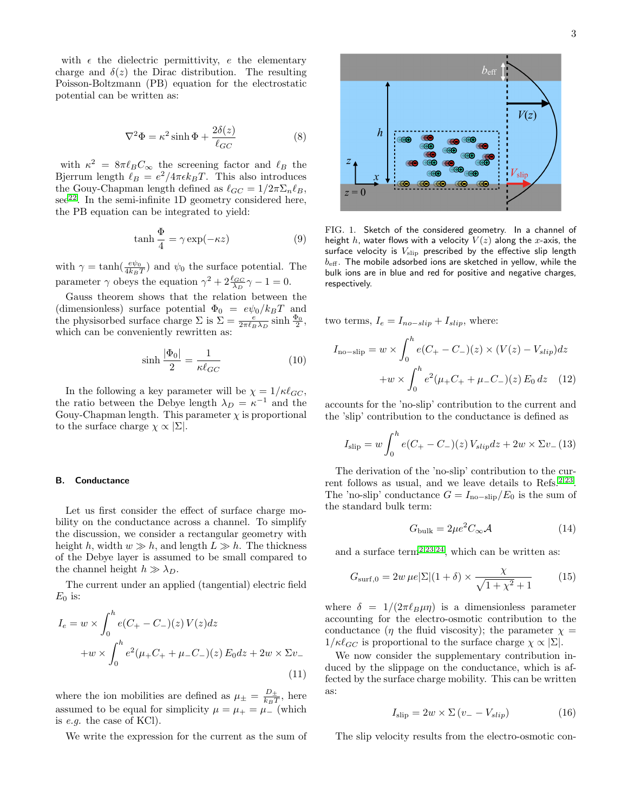with  $\epsilon$  the dielectric permittivity,  $e$  the elementary charge and  $\delta(z)$  the Dirac distribution. The resulting Poisson-Boltzmann (PB) equation for the electrostatic potential can be written as:

<span id="page-2-3"></span>
$$
\nabla^2 \Phi = \kappa^2 \sinh \Phi + \frac{2\delta(z)}{\ell_{GC}} \tag{8}
$$

with  $\kappa^2 = 8\pi \ell_B C_\infty$  the screening factor and  $\ell_B$  the Bjerrum length  $\ell_B = e^2/4\pi\epsilon k_BT$ . This also introduces the Gouy-Chapman length defined as  $\ell_{GC} = 1/2\pi\Sigma_n\ell_B$ ,  $\sec^{22}$  $\sec^{22}$  $\sec^{22}$ . In the semi-infinite 1D geometry considered here, the PB equation can be integrated to yield:

$$
\tanh\frac{\Phi}{4} = \gamma \exp(-\kappa z) \tag{9}
$$

with  $\gamma = \tanh(\frac{e\psi_0}{4k_BT})$  and  $\psi_0$  the surface potential. The parameter  $\gamma$  obeys the equation  $\gamma^2 + 2\frac{\ell_{GC}}{\lambda_D}\gamma - 1 = 0$ .

Gauss theorem shows that the relation between the (dimensionless) surface potential  $\Phi_0 = e\psi_0/k_BT$  and the physisorbed surface charge  $\Sigma$  is  $\Sigma = \frac{e}{2\pi\ell_B\lambda_D} \sinh \frac{\Phi_0}{2}$ , which can be conveniently rewritten as:

<span id="page-2-4"></span>
$$
\sinh\frac{|\Phi_0|}{2} = \frac{1}{\kappa \ell_{GC}}\tag{10}
$$

In the following a key parameter will be  $\chi = 1/\kappa \ell_{GC}$ , the ratio between the Debye length  $\lambda_D = \kappa^{-1}$  and the Gouy-Chapman length. This parameter  $\chi$  is proportional to the surface charge  $\chi \propto |\Sigma|$ .

#### B. Conductance

Let us first consider the effect of surface charge mobility on the conductance across a channel. To simplify the discussion, we consider a rectangular geometry with height h, width  $w \gg h$ , and length  $L \gg h$ . The thickness of the Debye layer is assumed to be small compared to the channel height  $h \gg \lambda_D$ .

The current under an applied (tangential) electric field  $E_0$  is:

$$
I_e = w \times \int_0^h e(C_+ - C_-)(z) V(z) dz
$$
  
+ $w \times \int_0^h e^2 (\mu_+ C_+ + \mu_- C_-)(z) E_0 dz + 2w \times \Sigma v_-$   
(11)

where the ion mobilities are defined as  $\mu_{\pm} = \frac{D_{\pm}}{k_B T}$  $\frac{D_{\pm}}{k_BT}$ , here assumed to be equal for simplicity  $\mu = \mu_{+} = \mu_{-}$  (which is e.g. the case of KCl).

We write the expression for the current as the sum of



<span id="page-2-0"></span>FIG. 1. Sketch of the considered geometry. In a channel of height h, water flows with a velocity  $V(z)$  along the x-axis, the surface velocity is  $V_{\text{slip}}$  prescribed by the effective slip length  $b_{\text{eff}}$ . The mobile adsorbed ions are sketched in yellow, while the bulk ions are in blue and red for positive and negative charges, respectively.

two terms,  $I_e = I_{no-slip} + I_{slip}$ , where:

$$
I_{\text{no-slip}} = w \times \int_0^h e(C_+ - C_-)(z) \times (V(z) - V_{slip}) dz
$$

$$
+ w \times \int_0^h e^2 (\mu_+ C_+ + \mu_- C_-)(z) E_0 dz \quad (12)
$$

accounts for the 'no-slip' contribution to the current and the 'slip' contribution to the conductance is defined as

$$
I_{\rm slip} = w \int_0^h e(C_+ - C_-)(z) V_{slip} dz + 2w \times \Sigma v_-(13)
$$

The derivation of the 'no-slip' contribution to the cur-rent follows as usual, and we leave details to Refs.<sup>[2,](#page-9-1)[23](#page-9-19)</sup>. The 'no-slip' conductance  $G = I_{no-slip}/E_0$  is the sum of the standard bulk term:

<span id="page-2-1"></span>
$$
G_{\text{bulk}} = 2\mu e^2 C_{\infty} \mathcal{A} \tag{14}
$$

and a surface term<sup>[2,](#page-9-1)[23](#page-9-19)[,24](#page-9-20)</sup>, which can be written as:

<span id="page-2-2"></span>
$$
G_{\text{surf},0} = 2w \,\mu e |\Sigma| (1+\delta) \times \frac{\chi}{\sqrt{1+\chi^2}+1} \tag{15}
$$

where  $\delta = 1/(2\pi\ell_B\mu\eta)$  is a dimensionless parameter accounting for the electro-osmotic contribution to the conductance ( $\eta$  the fluid viscosity); the parameter  $\chi$  =  $1/\kappa\ell_{GC}$  is proportional to the surface charge  $\chi \propto |\Sigma|$ .

We now consider the supplementary contribution induced by the slippage on the conductance, which is affected by the surface charge mobility. This can be written as:

$$
I_{\rm slip} = 2w \times \Sigma (v_- - V_{slip})
$$
 (16)

The slip velocity results from the electro-osmotic con-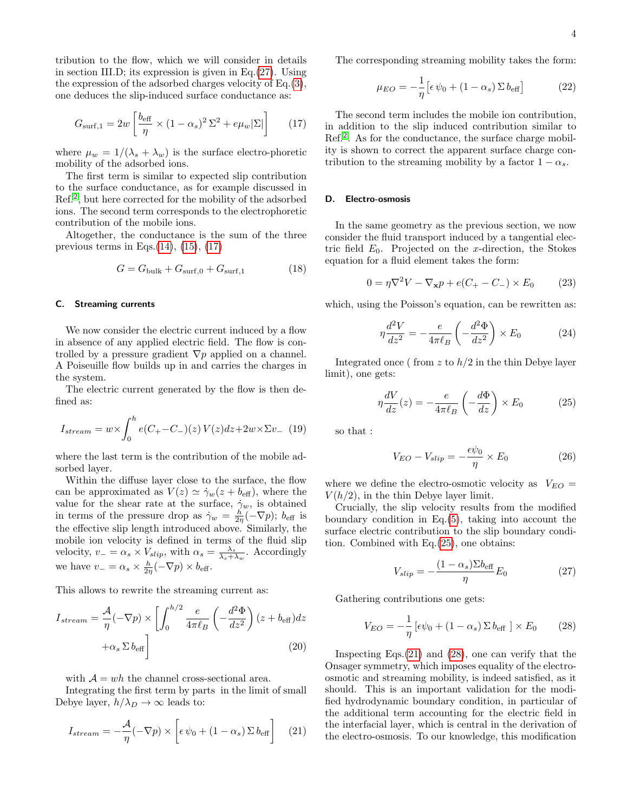tribution to the flow, which we will consider in details in section III.D; its expression is given in Eq.[\(27\)](#page-3-0). Using the expression of the adsorbed charges velocity of Eq.[\(3\)](#page-1-0), one deduces the slip-induced surface conductance as:

<span id="page-3-1"></span>
$$
G_{\text{surf},1} = 2w \left[ \frac{b_{\text{eff}}}{\eta} \times (1 - \alpha_s)^2 \Sigma^2 + e \mu_w |\Sigma| \right] \tag{17}
$$

where  $\mu_w = 1/(\lambda_s + \lambda_w)$  is the surface electro-phoretic mobility of the adsorbed ions.

The first term is similar to expected slip contribution to the surface conductance, as for example discussed in Ref.[2](#page-9-1) , but here corrected for the mobility of the adsorbed ions. The second term corresponds to the electrophoretic contribution of the mobile ions.

Altogether, the conductance is the sum of the three previous terms in Eqs. $(14)$ ,  $(15)$ ,  $(17)$ 

<span id="page-3-5"></span>
$$
G = G_{\text{bulk}} + G_{\text{surf},0} + G_{\text{surf},1} \tag{18}
$$

#### C. Streaming currents

We now consider the electric current induced by a flow in absence of any applied electric field. The flow is controlled by a pressure gradient  $\nabla p$  applied on a channel. A Poiseuille flow builds up in and carries the charges in the system.

The electric current generated by the flow is then defined as:

$$
I_{stream} = w \times \int_{0}^{h} e(C_{+} - C_{-})(z) V(z) dz + 2w \times \Sigma v_{-}
$$
 (19)

where the last term is the contribution of the mobile adsorbed layer.

Within the diffuse layer close to the surface, the flow can be approximated as  $V(z) \simeq \dot{\gamma}_w(z + b_{\text{eff}})$ , where the value for the shear rate at the surface,  $\gamma_w$ , is obtained in terms of the pressure drop as  $\dot{\gamma}_w = \frac{h}{2\eta}(-\nabla p)$ ;  $b_{\text{eff}}$  is the effective slip length introduced above. Similarly, the mobile ion velocity is defined in terms of the fluid slip velocity,  $v_- = \alpha_s \times V_{slip}$ , with  $\alpha_s = \frac{\lambda_s}{\lambda_s + \lambda_w}$ . Accordingly we have  $v_- = \alpha_s \times \frac{h}{2\eta} (-\nabla p) \times b_{\text{eff}}$ .

This allows to rewrite the streaming current as:

$$
I_{stream} = \frac{\mathcal{A}}{\eta}(-\nabla p) \times \left[ \int_0^{h/2} \frac{e}{4\pi \ell_B} \left( -\frac{d^2 \Phi}{dz^2} \right) (z + b_{\text{eff}}) dz + \alpha_s \Sigma b_{\text{eff}} \right]
$$
(20)

with  $A = wh$  the channel cross-sectional area.

Integrating the first term by parts in the limit of small Debye layer,  $h/\lambda_D \rightarrow \infty$  leads to:

<span id="page-3-3"></span>
$$
I_{stream} = -\frac{\mathcal{A}}{\eta}(-\nabla p) \times \left[\epsilon \psi_0 + (1 - \alpha_s) \Sigma b_{\text{eff}}\right] \quad (21)
$$

The corresponding streaming mobility takes the form:

$$
\mu_{EO} = -\frac{1}{\eta} \left[ \epsilon \psi_0 + (1 - \alpha_s) \Sigma b_{\text{eff}} \right]
$$
 (22)

The second term includes the mobile ion contribution, in addition to the slip induced contribution similar to Ref.<sup>[2](#page-9-1)</sup>. As for the conductance, the surface charge mobility is shown to correct the apparent surface charge contribution to the streaming mobility by a factor  $1 - \alpha_s$ .

# D. Electro-osmosis

In the same geometry as the previous section, we now consider the fluid transport induced by a tangential electric field  $E_0$ . Projected on the x-direction, the Stokes equation for a fluid element takes the form:

$$
0 = \eta \nabla^2 V - \nabla_{\mathbf{x}} p + e(C_+ - C_-) \times E_0 \tag{23}
$$

which, using the Poisson's equation, can be rewritten as:

$$
\eta \frac{d^2 V}{dz^2} = -\frac{e}{4\pi \ell_B} \left( -\frac{d^2 \Phi}{dz^2} \right) \times E_0 \tag{24}
$$

Integrated once (from z to  $h/2$  in the thin Debye layer limit), one gets:

<span id="page-3-2"></span>
$$
\eta \frac{dV}{dz}(z) = -\frac{e}{4\pi \ell_B} \left( -\frac{d\Phi}{dz} \right) \times E_0 \tag{25}
$$

so that :

$$
V_{EO} - V_{slip} = -\frac{\epsilon \psi_0}{\eta} \times E_0 \tag{26}
$$

where we define the electro-osmotic velocity as  $V_{EO} =$  $V(h/2)$ , in the thin Debye layer limit.

Crucially, the slip velocity results from the modified boundary condition in Eq.[\(5\)](#page-1-1), taking into account the surface electric contribution to the slip boundary condition. Combined with Eq.[\(25\)](#page-3-2), one obtains:

<span id="page-3-0"></span>
$$
V_{slip} = -\frac{(1 - \alpha_s) \Sigma b_{\text{eff}}}{\eta} E_0 \tag{27}
$$

Gathering contributions one gets:

<span id="page-3-4"></span>
$$
V_{EO} = -\frac{1}{\eta} \left[ \epsilon \psi_0 + (1 - \alpha_s) \Sigma b_{\text{eff}} \right] \times E_0 \qquad (28)
$$

Inspecting Eqs. $(21)$  and  $(28)$ , one can verify that the Onsager symmetry, which imposes equality of the electroosmotic and streaming mobility, is indeed satisfied, as it should. This is an important validation for the modified hydrodynamic boundary condition, in particular of the additional term accounting for the electric field in the interfacial layer, which is central in the derivation of the electro-osmosis. To our knowledge, this modification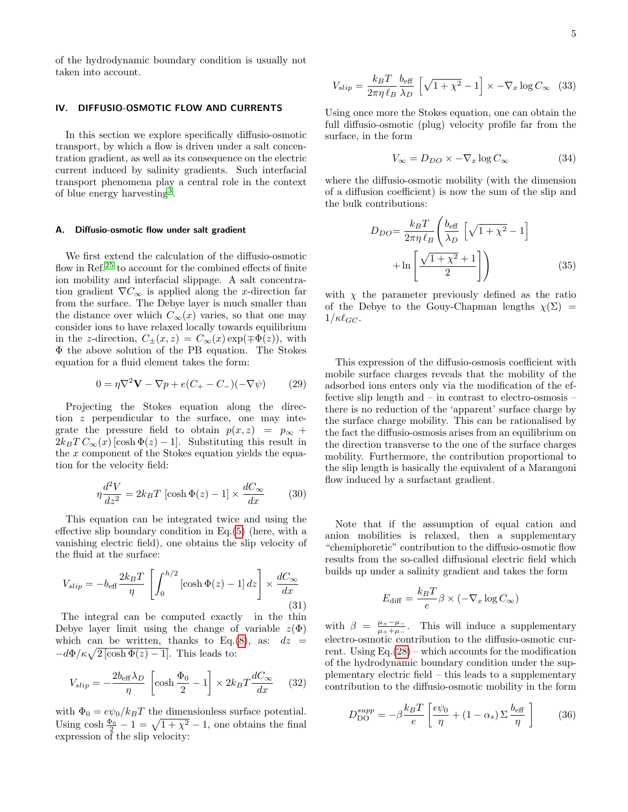of the hydrodynamic boundary condition is usually not taken into account.

## IV. DIFFUSIO-OSMOTIC FLOW AND CURRENTS

In this section we explore specifically diffusio-osmotic transport, by which a flow is driven under a salt concentration gradient, as well as its consequence on the electric current induced by salinity gradients. Such interfacial transport phenomena play a central role in the context of blue energy harvesting[3](#page-9-2) .

## A. Diffusio-osmotic flow under salt gradient

We first extend the calculation of the diffusio-osmotic flow in Ref.<sup>[25](#page-9-21)</sup> to account for the combined effects of finite ion mobility and interfacial slippage. A salt concentration gradient  $\nabla C_{\infty}$  is applied along the x-direction far from the surface. The Debye layer is much smaller than the distance over which  $C_{\infty}(x)$  varies, so that one may consider ions to have relaxed locally towards equilibrium in the z-direction,  $C_{\pm}(x, z) = C_{\infty}(x) \exp(\mp \Phi(z))$ , with Φ the above solution of the PB equation. The Stokes equation for a fluid element takes the form:

$$
0 = \eta \nabla^2 \mathbf{V} - \nabla p + e(C_+ - C_-)(-\nabla \psi) \tag{29}
$$

Projecting the Stokes equation along the direction  $z$  perpendicular to the surface, one may integrate the pressure field to obtain  $p(x, z) = p_{\infty} +$  $2k_BT C_\infty(x)$  [cosh  $\Phi(z) - 1$ ]. Substituting this result in the  $x$  component of the Stokes equation yields the equation for the velocity field:

<span id="page-4-0"></span>
$$
\eta \frac{d^2 V}{dz^2} = 2k_B T \left[ \cosh \Phi(z) - 1 \right] \times \frac{dC_{\infty}}{dx} \tag{30}
$$

This equation can be integrated twice and using the effective slip boundary condition in Eq.[\(5\)](#page-1-1) (here, with a vanishing electric field), one obtains the slip velocity of the fluid at the surface:

$$
V_{slip} = -b_{\text{eff}} \frac{2k_B T}{\eta} \left[ \int_0^{h/2} \left[ \cosh \Phi(z) - 1 \right] dz \right] \times \frac{dC_{\infty}}{dx} \tag{31}
$$

The integral can be computed exactly in the thin Debye layer limit using the change of variable  $z(\Phi)$ which can be written, thanks to Eq.[\(8\)](#page-2-3), as:  $dz =$  $-d\Phi/\kappa\sqrt{2\left[\cosh\Phi(z)-1\right]}$ . This leads to:

$$
V_{slip} = -\frac{2b_{\text{eff}}\lambda_D}{\eta} \left[ \cosh\frac{\Phi_0}{2} - 1 \right] \times 2k_B T \frac{dC_{\infty}}{dx} \quad (32)
$$

with  $\Phi_0 = e\psi_0/k_BT$  the dimensionless surface potential. Using  $\cosh \frac{\Phi_0}{2} - 1 = \sqrt{1 + \chi^2} - 1$ , one obtains the final expression of the slip velocity:

<span id="page-4-1"></span>
$$
V_{slip} = \frac{k_B T}{2\pi \eta \ell_B} \frac{b_{\text{eff}}}{\lambda_D} \left[ \sqrt{1 + \chi^2} - 1 \right] \times -\nabla_x \log C_{\infty} \quad (33)
$$

Using once more the Stokes equation, one can obtain the full diffusio-osmotic (plug) velocity profile far from the surface, in the form

$$
V_{\infty} = D_{DO} \times -\nabla_x \log C_{\infty} \tag{34}
$$

where the diffusio-osmotic mobility (with the dimension of a diffusion coefficient) is now the sum of the slip and the bulk contributions:

$$
D_{DO} = \frac{k_B T}{2\pi \eta \ell_B} \left( \frac{b_{\text{eff}}}{\lambda_D} \left[ \sqrt{1 + \chi^2} - 1 \right] + \ln \left[ \frac{\sqrt{1 + \chi^2} + 1}{2} \right] \right)
$$
(35)

with  $\chi$  the parameter previously defined as the ratio of the Debye to the Gouy-Chapman lengths  $\chi(\Sigma)$  =  $1/\kappa\ell_{GC}$ .

This expression of the diffusio-osmosis coefficient with mobile surface charges reveals that the mobility of the adsorbed ions enters only via the modification of the effective slip length and – in contrast to electro-osmosis – there is no reduction of the 'apparent' surface charge by the surface charge mobility. This can be rationalised by the fact the diffusio-osmosis arises from an equilibrium on the direction transverse to the one of the surface charges mobility. Furthermore, the contribution proportional to the slip length is basically the equivalent of a Marangoni flow induced by a surfactant gradient.

Note that if the assumption of equal cation and anion mobilities is relaxed, then a supplementary "chemiphoretic" contribution to the diffusio-osmotic flow results from the so-called diffusional electric field which builds up under a salinity gradient and takes the form

$$
E_{\text{diff}} = \frac{k_B T}{e} \beta \times (-\nabla_x \log C_{\infty})
$$

with  $\beta = \frac{\mu_{+} - \mu_{-}}{\mu_{+} + \mu_{-}}$  $\frac{\mu_+ - \mu_-}{\mu_+ + \mu_-}$ . This will induce a supplementary electro-osmotic contribution to the diffusio-osmotic current. Using  $Eq.(28)$  $Eq.(28)$  – which accounts for the modification of the hydrodynamic boundary condition under the supplementary electric field – this leads to a supplementary contribution to the diffusio-osmotic mobility in the form

$$
D_{\rm DO}^{supp} = -\beta \frac{k_B T}{e} \left[ \frac{\epsilon \psi_0}{\eta} + (1 - \alpha_s) \Sigma \frac{b_{\rm eff}}{\eta} \right]
$$
 (36)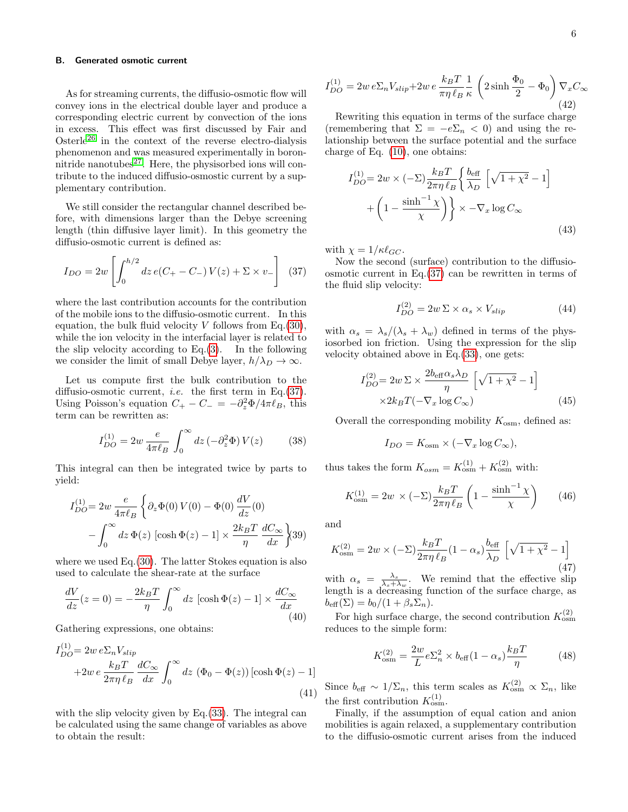#### B. Generated osmotic current

As for streaming currents, the diffusio-osmotic flow will convey ions in the electrical double layer and produce a corresponding electric current by convection of the ions in excess. This effect was first discussed by Fair and Osterle<sup>[26](#page-9-22)</sup> in the context of the reverse electro-dialysis phenomenon and was measured experimentally in boronnitride nanotubes $^{27}$  $^{27}$  $^{27}$ . Here, the physisorbed ions will contribute to the induced diffusio-osmostic current by a supplementary contribution.

We still consider the rectangular channel described before, with dimensions larger than the Debye screening length (thin diffusive layer limit). In this geometry the diffusio-osmotic current is defined as:

<span id="page-5-0"></span>
$$
I_{DO} = 2w \left[ \int_0^{h/2} dz \, e(C_+ - C_-) \, V(z) + \Sigma \times v_- \right] \tag{37}
$$

where the last contribution accounts for the contribution of the mobile ions to the diffusio-osmotic current. In this equation, the bulk fluid velocity  $V$  follows from Eq.[\(30\)](#page-4-0), while the ion velocity in the interfacial layer is related to the slip velocity according to  $Eq.(3)$  $Eq.(3)$ . In the following we consider the limit of small Debye layer,  $h/\lambda_D \to \infty$ .

Let us compute first the bulk contribution to the diffusio-osmotic current, i.e. the first term in Eq.[\(37\)](#page-5-0). Using Poisson's equation  $C_+ - C_- = -\partial_z^2 \Phi / 4\pi \ell_B$ , this term can be rewritten as:

$$
I_{DO}^{(1)} = 2w \frac{e}{4\pi\ell_B} \int_0^\infty dz \left(-\partial_z^2 \Phi\right) V(z) \tag{38}
$$

This integral can then be integrated twice by parts to yield:

$$
I_{DO}^{(1)} = 2w \frac{e}{4\pi\ell_B} \left\{ \partial_z \Phi(0) V(0) - \Phi(0) \frac{dV}{dz}(0) - \int_0^\infty dz \Phi(z) \left[ \cosh \Phi(z) - 1 \right] \times \frac{2k_B T}{\eta} \frac{dC_\infty}{dx} \right\} (39)
$$

where we used Eq.[\(30\)](#page-4-0). The latter Stokes equation is also used to calculate the shear-rate at the surface

$$
\frac{dV}{dz}(z=0) = -\frac{2k_BT}{\eta} \int_0^\infty dz \, [\cosh \Phi(z) - 1] \times \frac{dC_\infty}{dx}
$$
\n(40)

Gathering expressions, one obtains:

$$
I_{DO}^{(1)} = 2w e \Sigma_n V_{slip}
$$
  
+2w e  $\frac{k_B T}{2\pi \eta \ell_B} \frac{dC_{\infty}}{dx} \int_0^{\infty} dz (\Phi_0 - \Phi(z)) [\cosh \Phi(z) - 1]$   
(41)

with the slip velocity given by Eq. [\(33\)](#page-4-1). The integral can be calculated using the same change of variables as above to obtain the result:

$$
I_{DO}^{(1)} = 2w e \Sigma_n V_{slip} + 2w e \frac{k_B T}{\pi \eta \ell_B} \frac{1}{\kappa} \left( 2 \sinh \frac{\Phi_0}{2} - \Phi_0 \right) \nabla_x C_\infty
$$
\n(42)

Rewriting this equation in terms of the surface charge (remembering that  $\Sigma = -e\Sigma_n < 0$ ) and using the relationship between the surface potential and the surface charge of Eq. [\(10\)](#page-2-4), one obtains:

$$
I_{DO}^{(1)} = 2w \times (-\Sigma) \frac{k_B T}{2\pi \eta \ell_B} \left\{ \frac{b_{\text{eff}}}{\lambda_D} \left[ \sqrt{1 + \chi^2} - 1 \right] + \left( 1 - \frac{\sinh^{-1} \chi}{\chi} \right) \right\} \times -\nabla_x \log C_{\infty}
$$
\n(43)

with  $\chi = 1/\kappa \ell_{GC}$ .

Now the second (surface) contribution to the diffusioosmotic current in Eq.[\(37\)](#page-5-0) can be rewritten in terms of the fluid slip velocity:

$$
I_{DO}^{(2)} = 2w \Sigma \times \alpha_s \times V_{slip}
$$
 (44)

with  $\alpha_s = \lambda_s/(\lambda_s + \lambda_w)$  defined in terms of the physiosorbed ion friction. Using the expression for the slip velocity obtained above in Eq.[\(33\)](#page-4-1), one gets:

$$
I_{DO}^{(2)} = 2w \Sigma \times \frac{2b_{\text{eff}}\alpha_s \lambda_D}{\eta} \left[ \sqrt{1 + \chi^2} - 1 \right]
$$
  
 
$$
\times 2k_B T(-\nabla_x \log C_{\infty})
$$
 (45)

Overall the corresponding mobility  $K_{\text{osm}}$ , defined as:

$$
I_{DO} = K_{\text{osm}} \times (-\nabla_x \log C_{\infty}),
$$

thus takes the form  $K_{osm} = K_{osm}^{(1)} + K_{osm}^{(2)}$  with:

<span id="page-5-1"></span>
$$
K_{\text{osm}}^{(1)} = 2w \times (-\Sigma) \frac{k_B T}{2\pi \eta \ell_B} \left( 1 - \frac{\sinh^{-1} \chi}{\chi} \right) \tag{46}
$$

and

$$
K_{\text{osm}}^{(2)} = 2w \times (-\Sigma) \frac{k_B T}{2\pi \eta \ell_B} (1 - \alpha_s) \frac{b_{\text{eff}}}{\lambda_D} \left[ \sqrt{1 + \chi^2} - 1 \right]
$$
(47)

with  $\alpha_s = \frac{\lambda_s}{\lambda_s + \lambda_w}$ . We remind that the effective slip length is a decreasing function of the surface charge, as  $b_{\text{eff}}(\Sigma) = b_0/(1+\beta_s\Sigma_n).$ 

For high surface charge, the second contribution  $K_{\text{osm}}^{(2)}$ reduces to the simple form:

$$
K_{\text{osm}}^{(2)} = \frac{2w}{L} e \Sigma_n^2 \times b_{\text{eff}} (1 - \alpha_s) \frac{k_B T}{\eta}
$$
 (48)

Since  $b_{\text{eff}} \sim 1/\Sigma_n$ , this term scales as  $K_{\text{osm}}^{(2)} \propto \Sigma_n$ , like the first contribution  $K_{\text{osm}}^{(1)}$ .

Finally, if the assumption of equal cation and anion mobilities is again relaxed, a supplementary contribution to the diffusio-osmotic current arises from the induced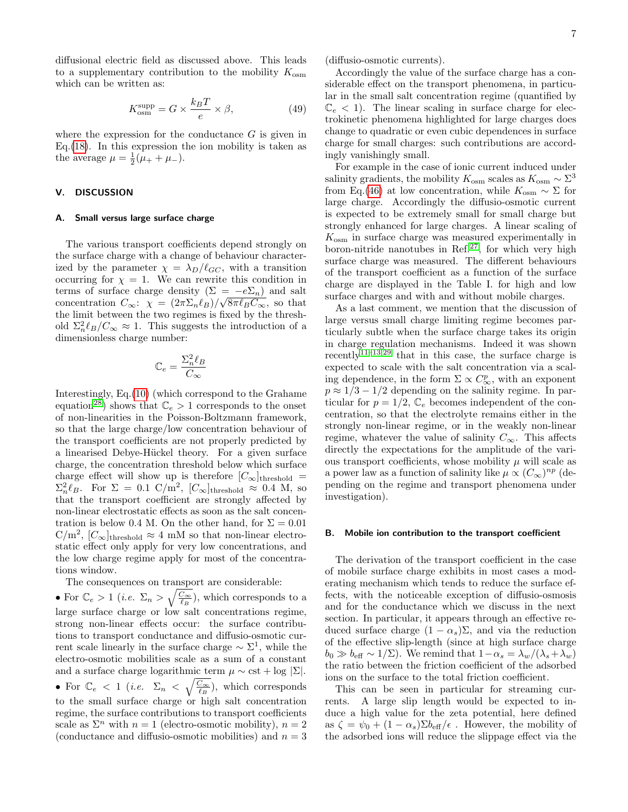diffusional electric field as discussed above. This leads to a supplementary contribution to the mobility  $K_{\text{osm}}$ which can be written as:

$$
K_{\text{osm}}^{\text{supp}} = G \times \frac{k_B T}{e} \times \beta,\tag{49}
$$

where the expression for the conductance  $G$  is given in Eq.  $(18)$ . In this expression the ion mobility is taken as the average  $\mu = \frac{1}{2}(\mu_{+} + \mu_{-}).$ 

# V. DISCUSSION

#### A. Small versus large surface charge

The various transport coefficients depend strongly on the surface charge with a change of behaviour characterized by the parameter  $\chi = \lambda_D/\ell_{GC}$ , with a transition occurring for  $\chi = 1$ . We can rewrite this condition in terms of surface charge density  $(\Sigma = -e\Sigma_n)$  and salt concentration  $C_{\infty}$ :  $\chi = (2\pi\Sigma_n\ell_B)/\sqrt{8\pi\ell_BC_{\infty}}$ , so that the limit between the two regimes is fixed by the threshold  $\Sigma_n^2 \ell_B / C_\infty \approx 1$ . This suggests the introduction of a dimensionless charge number:

$$
\mathbb{C}_e=\frac{\Sigma_n^2\ell_B}{C_\infty}
$$

Interestingly, Eq.[\(10\)](#page-2-4) (which correspond to the Grahame equation<sup>[28](#page-9-24)</sup>) shows that  $\mathbb{C}_e > 1$  corresponds to the onset of non-linearities in the Poisson-Boltzmann framework, so that the large charge/low concentration behaviour of the transport coefficients are not properly predicted by a linearised Debye-Hückel theory. For a given surface charge, the concentration threshold below which surface charge effect will show up is therefore  $[C_{\infty}]_{\text{threshold}} =$  $\Sigma_n^2 \ell_B$ . For  $\Sigma = 0.1 \text{ C/m}^2$ ,  $[C_{\infty}]$ threshold  $\approx 0.4 \text{ M}$ , so that the transport coefficient are strongly affected by non-linear electrostatic effects as soon as the salt concentration is below 0.4 M. On the other hand, for  $\Sigma = 0.01$  $\mathrm{C/m^2}, [\mathrm{C}_{\infty}]_{\text{threshold}} \approx 4 \text{ mM so that non-linear electro-}$ static effect only apply for very low concentrations, and the low charge regime apply for most of the concentrations window.

The consequences on transport are considerable:

• For  $\mathbb{C}_e > 1$  (*i.e.*  $\Sigma_n > \sqrt{\frac{C_{\infty}}{\ell_B}}$ ), which corresponds to a large surface charge or low salt concentrations regime, strong non-linear effects occur: the surface contributions to transport conductance and diffusio-osmotic current scale linearly in the surface charge  $\sim \Sigma^1$ , while the electro-osmotic mobilities scale as a sum of a constant and a surface charge logarithmic term  $\mu \sim \text{cst} + \log |\Sigma|$ . • For  $\mathbb{C}_e$  < 1 (*i.e.*  $\Sigma_n < \sqrt{\frac{C_{\infty}}{\ell_B}}$ ), which corresponds to the small surface charge or high salt concentration regime, the surface contributions to transport coefficients scale as  $\Sigma^n$  with  $n = 1$  (electro-osmotic mobility),  $n = 2$ (conductance and diffusio-osmotic mobilities) and  $n = 3$  (diffusio-osmotic currents).

Accordingly the value of the surface charge has a considerable effect on the transport phenomena, in particular in the small salt concentration regime (quantified by  $\mathbb{C}_e < 1$ ). The linear scaling in surface charge for electrokinetic phenomena highlighted for large charges does change to quadratic or even cubic dependences in surface charge for small charges: such contributions are accordingly vanishingly small.

For example in the case of ionic current induced under salinity gradients, the mobility  $K_{\text{osm}}$  scales as  $K_{\text{osm}} \sim \Sigma^3$ from Eq.[\(46\)](#page-5-1) at low concentration, while  $K_{\text{osm}} \sim \Sigma$  for large charge. Accordingly the diffusio-osmotic current is expected to be extremely small for small charge but strongly enhanced for large charges. A linear scaling of  $K_{\text{osm}}$  in surface charge was measured experimentally in boron-nitride nanotubes in Ref. $27$ , for which very high surface charge was measured. The different behaviours of the transport coefficient as a function of the surface charge are displayed in the Table I. for high and low surface charges and with and without mobile charges.

As a last comment, we mention that the discussion of large versus small charge limiting regime becomes particularly subtle when the surface charge takes its origin in charge regulation mechanisms. Indeed it was shown recently<sup> $11-13,29$  $11-13,29$  $11-13,29$ </sup> that in this case, the surface charge is expected to scale with the salt concentration via a scaling dependence, in the form  $\Sigma \propto C_{\infty}^p$ , with an exponent  $p \approx 1/3 - 1/2$  depending on the salinity regime. In particular for  $p = 1/2$ ,  $\mathbb{C}_e$  becomes independent of the concentration, so that the electrolyte remains either in the strongly non-linear regime, or in the weakly non-linear regime, whatever the value of salinity  $C_{\infty}$ . This affects directly the expectations for the amplitude of the various transport coefficients, whose mobility  $\mu$  will scale as a power law as a function of salinity like  $\mu \propto (C_{\infty})^{np}$  (depending on the regime and transport phenomena under investigation).

#### B. Mobile ion contribution to the transport coefficient

The derivation of the transport coefficient in the case of mobile surface charge exhibits in most cases a moderating mechanism which tends to reduce the surface effects, with the noticeable exception of diffusio-osmosis and for the conductance which we discuss in the next section. In particular, it appears through an effective reduced surface charge  $(1 - \alpha_s) \Sigma$ , and via the reduction of the effective slip-length (since at high surface charge  $b_0 \gg b_{\text{eff}} \sim 1/\Sigma$ . We remind that  $1-\alpha_s = \lambda_w/(\lambda_s+\lambda_w)$ the ratio between the friction coefficient of the adsorbed ions on the surface to the total friction coefficient.

This can be seen in particular for streaming currents. A large slip length would be expected to induce a high value for the zeta potential, here defined as  $\zeta = \psi_0 + (1 - \alpha_s) \Sigma b_{\text{eff}}/\epsilon$ . However, the mobility of the adsorbed ions will reduce the slippage effect via the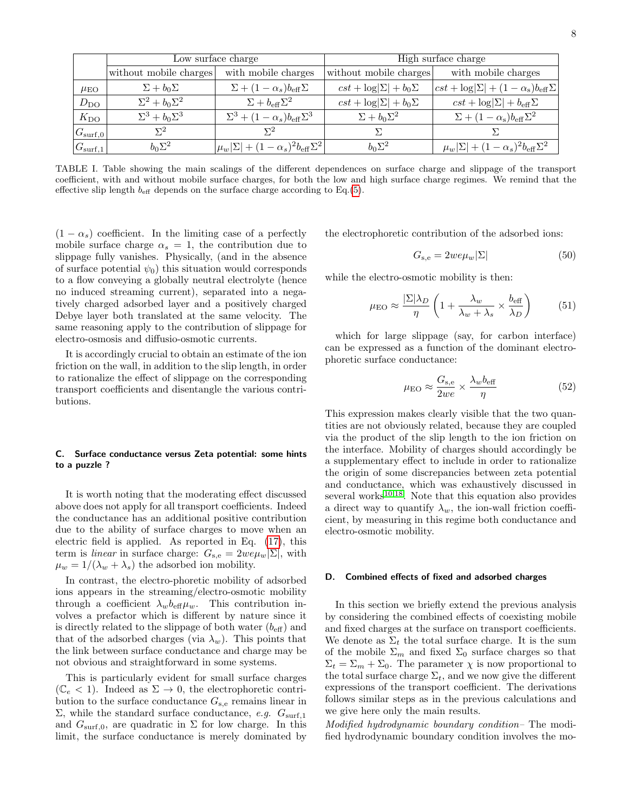|                    | Low surface charge        |                                                           | High surface charge              |                                                                       |
|--------------------|---------------------------|-----------------------------------------------------------|----------------------------------|-----------------------------------------------------------------------|
|                    | without mobile charges    | with mobile charges                                       | without mobile charges           | with mobile charges                                                   |
| $\mu_{\rm EO}$     | $\Sigma + b_0 \Sigma$     | $\Sigma + (1 - \alpha_s) b_{\text{eff}} \Sigma$           | $cst + \log \Sigma  + b_0\Sigma$ | $ cst + \log \Sigma  + (1 - \alpha_s)b_{\text{eff}}\Sigma $           |
| $D_{\rm DO}$       | $\Sigma^2 + b_0 \Sigma^2$ | $\Sigma + b_{\text{eff}} \Sigma^2$                        | $cst + \log \Sigma  + b_0\Sigma$ | $cst + \log \Sigma  + b_{\text{eff}}\Sigma$                           |
| $K_{\rm DO}$       | $\Sigma^3 + b_0 \Sigma^3$ | $\Sigma^3 + (1-\alpha_s) b_{\text{eff}} \Sigma^3$         | $\Sigma + b_0 \Sigma^2$          | $\Sigma + (1 - \alpha_{\rm s}) b_{\rm eff} \Sigma^2$                  |
| $ G_{\rm surf,0} $ | $\Sigma^2$                | $\Sigma^2$                                                |                                  |                                                                       |
| $ G_{\rm surf,1} $ | $b_0\Sigma^2$             | $ \mu_w \Sigma  + (1-\alpha_s)^2 b_{\text{eff}} \Sigma^2$ | $b_0\Sigma^2$                    | $\mu_w \vert \Sigma \vert + (1 - \alpha_s)^2 b_{\text{eff}} \Sigma^2$ |

TABLE I. Table showing the main scalings of the different dependences on surface charge and slippage of the transport coefficient, with and without mobile surface charges, for both the low and high surface charge regimes. We remind that the effective slip length  $b_{\text{eff}}$  depends on the surface charge according to Eq.[\(5\)](#page-1-1).

 $(1 - \alpha_s)$  coefficient. In the limiting case of a perfectly mobile surface charge  $\alpha_s = 1$ , the contribution due to slippage fully vanishes. Physically, (and in the absence of surface potential  $\psi_0$ ) this situation would corresponds to a flow conveying a globally neutral electrolyte (hence no induced streaming current), separated into a negatively charged adsorbed layer and a positively charged Debye layer both translated at the same velocity. The same reasoning apply to the contribution of slippage for electro-osmosis and diffusio-osmotic currents.

It is accordingly crucial to obtain an estimate of the ion friction on the wall, in addition to the slip length, in order to rationalize the effect of slippage on the corresponding transport coefficients and disentangle the various contributions.

## C. Surface conductance versus Zeta potential: some hints to a puzzle ?

It is worth noting that the moderating effect discussed above does not apply for all transport coefficients. Indeed the conductance has an additional positive contribution due to the ability of surface charges to move when an electric field is applied. As reported in Eq. [\(17\)](#page-3-1), this term is *linear* in surface charge:  $G_{\rm s,e} = 2we\mu_w|\Sigma|$ , with  $\mu_w = 1/(\lambda_w + \lambda_s)$  the adsorbed ion mobility.

In contrast, the electro-phoretic mobility of adsorbed ions appears in the streaming/electro-osmotic mobility through a coefficient  $\lambda_w b_{\text{eff}} \mu_w$ . This contribution involves a prefactor which is different by nature since it is directly related to the slippage of both water  $(b_{\text{eff}})$  and that of the adsorbed charges (via  $\lambda_w$ ). This points that the link between surface conductance and charge may be not obvious and straightforward in some systems.

This is particularly evident for small surface charges  $(\mathbb{C}_{e} < 1)$ . Indeed as  $\Sigma \rightarrow 0$ , the electrophoretic contribution to the surface conductance  $G_{s,e}$  remains linear in  $\Sigma$ , while the standard surface conductance, *e.g.*  $G_{\text{surf,1}}$ and  $G_{\text{surf},0}$ , are quadratic in  $\Sigma$  for low charge. In this limit, the surface conductance is merely dominated by

the electrophoretic contribution of the adsorbed ions:

$$
G_{\rm s,e} = 2w e \mu_w |\Sigma| \tag{50}
$$

while the electro-osmotic mobility is then:

$$
\mu_{\text{EO}} \approx \frac{|\Sigma|\lambda_D}{\eta} \left( 1 + \frac{\lambda_w}{\lambda_w + \lambda_s} \times \frac{b_{\text{eff}}}{\lambda_D} \right) \tag{51}
$$

which for large slippage (say, for carbon interface) can be expressed as a function of the dominant electrophoretic surface conductance:

$$
\mu_{\text{EO}} \approx \frac{G_{\text{s,e}}}{2we} \times \frac{\lambda_w b_{\text{eff}}}{\eta} \tag{52}
$$

This expression makes clearly visible that the two quantities are not obviously related, because they are coupled via the product of the slip length to the ion friction on the interface. Mobility of charges should accordingly be a supplementary effect to include in order to rationalize the origin of some discrepancies between zeta potential and conductance, which was exhaustively discussed in several works $10,18$  $10,18$ . Note that this equation also provides a direct way to quantify  $\lambda_w$ , the ion-wall friction coefficient, by measuring in this regime both conductance and electro-osmotic mobility.

#### D. Combined effects of fixed and adsorbed charges

In this section we briefly extend the previous analysis by considering the combined effects of coexisting mobile and fixed charges at the surface on transport coefficients. We denote as  $\Sigma_t$  the total surface charge. It is the sum of the mobile  $\Sigma_m$  and fixed  $\Sigma_0$  surface charges so that  $\Sigma_t = \Sigma_m + \Sigma_0$ . The parameter  $\chi$  is now proportional to the total surface charge  $\Sigma_t$ , and we now give the different expressions of the transport coefficient. The derivations follows similar steps as in the previous calculations and we give here only the main results.

Modified hydrodynamic boundary condition– The modified hydrodynamic boundary condition involves the mo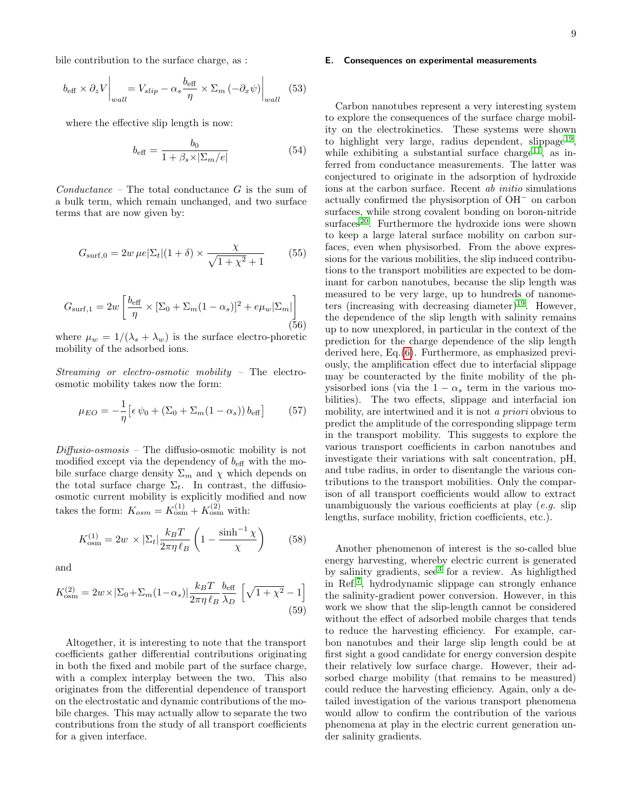bile contribution to the surface charge, as :

$$
b_{\text{eff}} \times \partial_z V \bigg|_{wall} = V_{slip} - \alpha_s \frac{b_{\text{eff}}}{\eta} \times \Sigma_m \left( -\partial_x \psi \right) \bigg|_{wall} \quad (53)
$$

where the effective slip length is now:

$$
b_{\text{eff}} = \frac{b_0}{1 + \beta_s \times |\Sigma_m/e|} \tag{54}
$$

 $Conductance$  – The total conductance  $G$  is the sum of a bulk term, which remain unchanged, and two surface terms that are now given by:

$$
G_{\text{surf},0} = 2w \,\mu e |\Sigma_t| (1+\delta) \times \frac{\chi}{\sqrt{1+\chi^2}+1} \tag{55}
$$

$$
G_{\text{surf},1} = 2w \left[ \frac{b_{\text{eff}}}{\eta} \times \left[ \Sigma_0 + \Sigma_m (1 - \alpha_s) \right]^2 + e \mu_w |\Sigma_m| \right] \tag{56}
$$

where  $\mu_w = 1/(\lambda_s + \lambda_w)$  is the surface electro-phoretic mobility of the adsorbed ions.

Streaming or electro-osmotic mobility – The electroosmotic mobility takes now the form:

$$
\mu_{EO} = -\frac{1}{\eta} \left[ \epsilon \psi_0 + (\Sigma_0 + \Sigma_m (1 - \alpha_s)) b_{\text{eff}} \right]
$$
 (57)

 $Diffusio-osmosis$  – The diffusio-osmotic mobility is not modified except via the dependency of  $b_{\text{eff}}$  with the mobile surface charge density  $\Sigma_m$  and  $\chi$  which depends on the total surface charge  $\Sigma_t$ . In contrast, the diffusioosmotic current mobility is explicitly modified and now takes the form:  $K_{osm} = K_{osm}^{(1)} + K_{osm}^{(2)}$  with:

$$
K_{\text{osm}}^{(1)} = 2w \times |\Sigma_t| \frac{k_B T}{2\pi \eta \ell_B} \left(1 - \frac{\sinh^{-1} \chi}{\chi}\right) \tag{58}
$$

and

$$
K_{\text{osm}}^{(2)} = 2w \times |\Sigma_0 + \Sigma_m (1 - \alpha_s)| \frac{k_B T}{2\pi \eta \ell_B} \frac{b_{\text{eff}}}{\lambda_D} \left[ \sqrt{1 + \chi^2} - 1 \right]
$$
\n
$$
(59)
$$

Altogether, it is interesting to note that the transport coefficients gather differential contributions originating in both the fixed and mobile part of the surface charge, with a complex interplay between the two. This also originates from the differential dependence of transport on the electrostatic and dynamic contributions of the mobile charges. This may actually allow to separate the two contributions from the study of all transport coefficients for a given interface.

#### E. Consequences on experimental measurements

Carbon nanotubes represent a very interesting system to explore the consequences of the surface charge mobility on the electrokinetics. These systems were shown to highlight very large, radius dependent, slippage<sup>[19](#page-9-15)</sup>, while exhibiting a substantial surface charge<sup>[11](#page-9-8)</sup>, as inferred from conductance measurements. The latter was conjectured to originate in the adsorption of hydroxide ions at the carbon surface. Recent ab initio simulations actually confirmed the physisorption of OH<sup>−</sup> on carbon surfaces, while strong covalent bonding on boron-nitride  $surfaces<sup>20</sup>$  $surfaces<sup>20</sup>$  $surfaces<sup>20</sup>$ . Furthermore the hydroxide ions were shown to keep a large lateral surface mobility on carbon surfaces, even when physisorbed. From the above expressions for the various mobilities, the slip induced contributions to the transport mobilities are expected to be dominant for carbon nanotubes, because the slip length was measured to be very large, up to hundreds of nanome-ters (increasing with decreasing diameter)<sup>[19](#page-9-15)</sup>. However, the dependence of the slip length with salinity remains up to now unexplored, in particular in the context of the prediction for the charge dependence of the slip length derived here, Eq.[\(6\)](#page-1-2). Furthermore, as emphasized previously, the amplification effect due to interfacial slippage may be counteracted by the finite mobility of the physisorbed ions (via the  $1 - \alpha_s$  term in the various mobilities). The two effects, slippage and interfacial ion mobility, are intertwined and it is not a priori obvious to predict the amplitude of the corresponding slippage term in the transport mobility. This suggests to explore the various transport coefficients in carbon nanotubes and investigate their variations with salt concentration, pH, and tube radius, in order to disentangle the various contributions to the transport mobilities. Only the comparison of all transport coefficients would allow to extract unambiguously the various coefficients at play  $(e.g.$  slip lengths, surface mobility, friction coefficients, etc.).

Another phenomenon of interest is the so-called blue energy harvesting, whereby electric current is generated by salinity gradients, see<sup>[3](#page-9-2)</sup> for a review. As highligthed in Ref.[7](#page-9-4) , hydrodynamic slippage can strongly enhance the salinity-gradient power conversion. However, in this work we show that the slip-length cannot be considered without the effect of adsorbed mobile charges that tends to reduce the harvesting efficiency. For example, carbon nanotubes and their large slip length could be at first sight a good candidate for energy conversion despite their relatively low surface charge. However, their adsorbed charge mobility (that remains to be measured) could reduce the harvesting efficiency. Again, only a detailed investigation of the various transport phenomena would allow to confirm the contribution of the various phenomena at play in the electric current generation under salinity gradients.